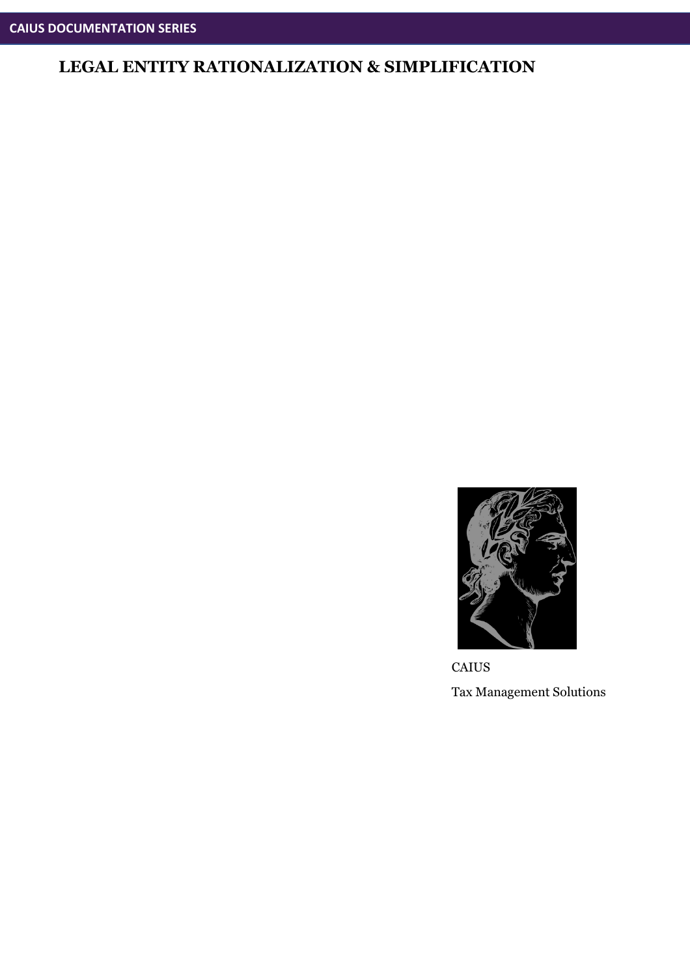

**CAIUS** Tax Management Solutions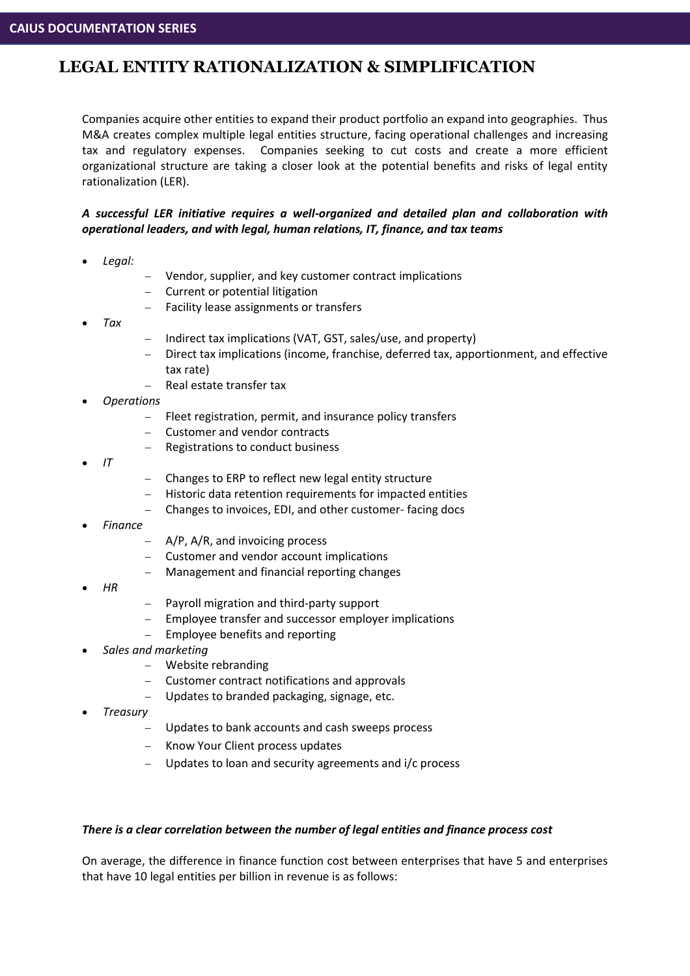Companies acquire other entities to expand their product portfolio an expand into geographies. Thus M&A creates complex multiple legal entities structure, facing operational challenges and increasing tax and regulatory expenses. Companies seeking to cut costs and create a more efficient organizational structure are taking a closer look at the potential benefits and risks of legal entity rationalization (LER).

#### *A successful LER initiative requires a well-organized and detailed plan and collaboration with operational leaders, and with legal, human relations, IT, finance, and tax teams*

- *Legal:*
- − Vendor, supplier, and key customer contract implications
- − Current or potential litigation
- Facility lease assignments or transfers
- *Tax*
- − Indirect tax implications (VAT, GST, sales/use, and property)
- − Direct tax implications (income, franchise, deferred tax, apportionment, and effective tax rate)
- Real estate transfer tax
- *Operations*
	- − Fleet registration, permit, and insurance policy transfers
	- − Customer and vendor contracts
	- Registrations to conduct business
- *IT*
- − Changes to ERP to reflect new legal entity structure
- − Historic data retention requirements for impacted entities
- − Changes to invoices, EDI, and other customer- facing docs
- *Finance*
	- − A/P, A/R, and invoicing process
	- − Customer and vendor account implications
	- − Management and financial reporting changes
- *HR*
- − Payroll migration and third-party support
- Employee transfer and successor employer implications
- Employee benefits and reporting
- *Sales and marketing*
	- − Website rebranding
	- − Customer contract notifications and approvals
	- − Updates to branded packaging, signage, etc.
- *Treasury*
	- Updates to bank accounts and cash sweeps process
	- − Know Your Client process updates
	- Updates to loan and security agreements and i/c process

#### *There is a clear correlation between the number of legal entities and finance process cost*

On average, the difference in finance function cost between enterprises that have 5 and enterprises that have 10 legal entities per billion in revenue is as follows: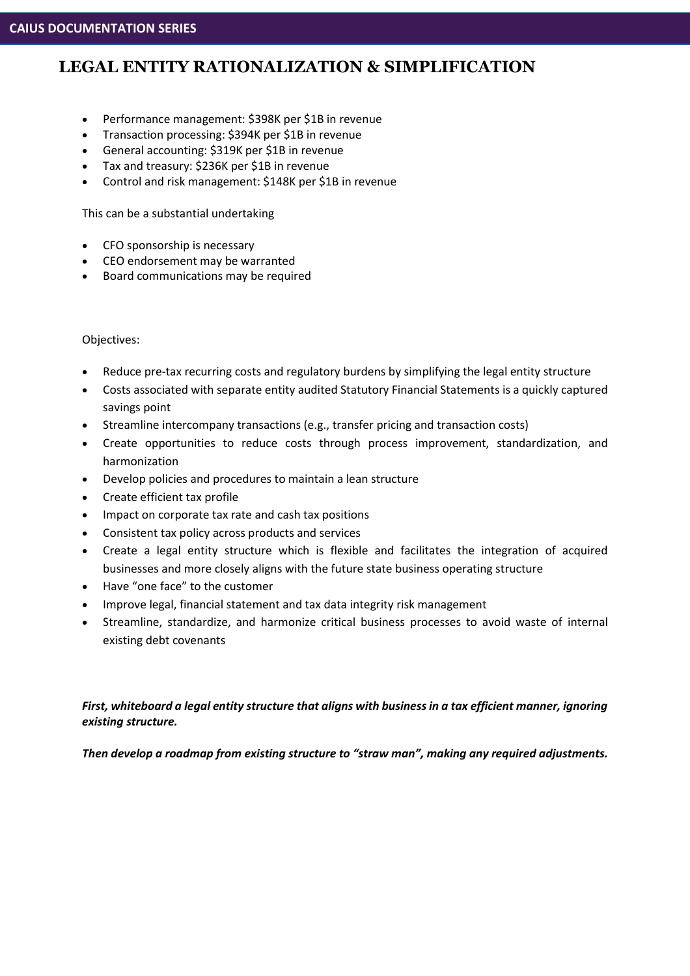- Performance management: \$398K per \$1B in revenue
- Transaction processing: \$394K per \$1B in revenue
- General accounting: \$319K per \$1B in revenue
- Tax and treasury: \$236K per \$1B in revenue
- Control and risk management: \$148K per \$1B in revenue

This can be a substantial undertaking

- CFO sponsorship is necessary
- CEO endorsement may be warranted
- Board communications may be required

#### Objectives:

- Reduce pre-tax recurring costs and regulatory burdens by simplifying the legal entity structure
- Costs associated with separate entity audited Statutory Financial Statements is a quickly captured savings point
- Streamline intercompany transactions (e.g., transfer pricing and transaction costs)
- Create opportunities to reduce costs through process improvement, standardization, and harmonization
- Develop policies and procedures to maintain a lean structure
- Create efficient tax profile
- Impact on corporate tax rate and cash tax positions
- Consistent tax policy across products and services
- Create a legal entity structure which is flexible and facilitates the integration of acquired businesses and more closely aligns with the future state business operating structure
- Have "one face" to the customer
- Improve legal, financial statement and tax data integrity risk management
- Streamline, standardize, and harmonize critical business processes to avoid waste of internal existing debt covenants

*First, whiteboard a legal entity structure that aligns with business in a tax efficient manner, ignoring existing structure.*

*Then develop a roadmap from existing structure to "straw man", making any required adjustments.*